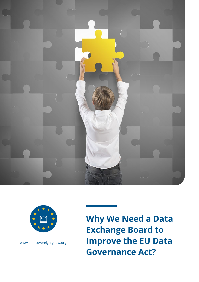



www.datasovereigntynow.org

**Why We Need a Data Exchange Board to Improve the EU Data Governance Act?**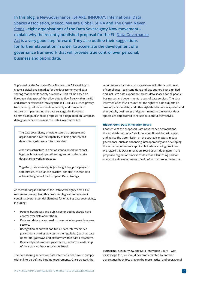**In this blog, [a NewGovernance](https://www.anewgovernance.org/), [iSHARE,](http://www.ishareworks.org) [INNOPAY,](http://www.INNOPAY.com/en) [International Data](https://www.internationaldataspaces.org/)  [Spaces Association](https://www.internationaldataspaces.org/), [Meeco,](https://www.meeco.me/) [MyData Global](https://mydata.org/), [SITRA](https://www.sitra.fi/en/) and [The Chain Never](https://thechainneverstops.com/)  [Stops](https://thechainneverstops.com/) - eight organisations of the Data Sovereignty Now movement – explain why the recently published proposal for the EU [Data Governance](https://ec.europa.eu/digital-single-market/en/news/proposal-regulation-european-data-governance-data-governance-act) [Act](https://ec.europa.eu/digital-single-market/en/news/proposal-regulation-european-data-governance-data-governance-act) is a very good step forward. They also outline their suggestions for further elaboration in order to accelerate the development of a governance framework that will provide true control over personal, business and public data.** 

Supported by the European Data Strategy, the EU is striving to create a digital single market for the data economy and data sharing that benefits society as a whole. This will be based on European 'data spaces' that allow data to flow freely within the EU and across sectors whilst staying true to EU values such as privacy, transparency, self-determination, security and competition. As part of implementing the data strategy, the European Commission published its proposal for a regulation on European data governance, known as the Data Governance Act.

The data sovereignty principle states that people and organisations have the capability of being entirely selfdetermining with regard for their data.

A soft infrastructure is a set of standardised functional, legal, technical and operational agreements that make data sharing work in practice.

Together, data sovereignty (as the guiding principle) and soft infrastructure (as the practical enabler) are crucial to achieve the goals of the European Data Strategy.

As member organisations of the Data Sovereignty Now (DSN) movement, we applaud this proposed legislation because it contains several essential elements for enabling data sovereignty, including:

- People, businesses and public-sector bodies should have control over data about them.
- Data and data spaces need to become interoperable across sectors.
- Recognition of current and future data intermediaries (called 'data sharing services' in the regulation) such as data operators, gateways and platforms within data ecosystems.
- Balanced pan-European governance, under the leadership of the so-called Data Innovation Board.

The data sharing services or data intermediaries have to comply with still-to-be-defined binding requirements. Once created, the

requirements for data sharing services will offer a basic level of compliance, legal conditions and last but not least a unified and inclusive data experience across data spaces, for all people, businesses and governmental users of data services. The data intermediaries thus ensure that the rights of data subjects (in case of personal data) and other rightsholders are respected and that people, businesses and governments in the various data spaces are empowered to re-use data about themselves.

### **Hidden Gem: Data Innovation Board**

Chapter VI of the proposed Data Governance Act mentions the establishment of a Data Innovation Board that will assist and advise the Commission on the strategic matters in data governance, such as enhancing interoperability and developing the actual requirements applicable to data sharing providers. We regard this Data Innovation Board as a 'hidden gem' in the proposed regulation since it could act as a launching pad for many critical developments of soft infrastructure in the future.



Furthermore, in our view, the Data Innovation Board – with its strategic focus – should be complemented by another governance body focusing on the more tactical and operational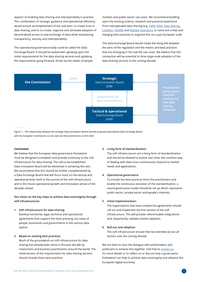aspects of enabling data sharing and interoperability in practice. This combination of strategic guidance and operational efficiency would ensure accomplishment of the real aims: to create trust in data sharing, and to co-create, organise and stimulate adoption of decentralised access to and exchange of data while maintaining transparency, security and interoperability.

This operational governance body could be called the Data Exchange Board. It should be tasked with agreeing upon the initial requirements for the data sharing services and updating the requirements going forward, driven by the needs of people, markets and public-sector use cases. We recommend building upon the existing science, research and practical experience from interoperable data sharing (e.g. [IHAN,](https://www.sitra.fi/en/publications/rulebook-for-a-fair-data-economy/) [IDSA](https://www.internationaldataspaces.org/the-principles/#_architekturmodell), Data Sharing [Coalition](http://www.datasharingcoalition.eu/), [iSHARE](http://www.ishareworks.org) and [MyData Operators](https://mydata.org/mydata-operators/), to name but a few) and merging best practices to organise this on a pan-European scale.

The Data Exchange Board would create the living link between the aims of the regulation and the means and best practices that are emerging in the real-life use cases. We believe that this connection will be essential to drive large-scale adoption of the data sharing services in the coming decade.



*Figure 1 – The relationship between the strategic Data Innovation Board and the proposed operational Data Exchange Board, with the European Commission on one side and the practitioners on the other.*

### **Conclusion**

We believe that the European data governance framework must be designed to establish and provide continuity to the soft infrastructure for data sharing. The still-to-be-established Data Innovation Board will be elemental in achieving this aim. We recommend that this should be further complemented by a Data Exchange Board that will focus more on the tactical and operational level, both in the sunrise of the soft infrastructure and in the future operational growth and innovation phase of the decades ahead.

## **Our vision on the key steps to achieve data sovereignty through soft infrastructures:**

**1. Soft infrastructure for data sharing:**

Develop functional, legal, technical and operational agreements that support the most pressing use cases of people, businesses and governments in the various data spaces.

### **2. Based on existing best practices:**

Much of the groundwork on soft infrastructure for data sharing has already been done in the past decade by researchers and business practitioners around the world. The initial version of the requirements for data sharing services should include these best practices.

#### **3. Living form of standardisation:**

The soft infrastructures are a living form of standardisation and should be allowed to evolve over time; the common way of dealing with data must continuously respond to market needs and applications.

#### **4. Operational governance:**

To include the best practices from the practitioners and enable the continuous evolution of the standardisation, a sound governance model should be set up which represents public-sector, private-sector and people's interests.

### **5. Initial implementation:**

The organisations that have created the agreements should roll out and implement the first version of the soft infrastructure. This will provide referenceable integrations and, importantly, validate market adoption.

#### **6. Roll-out and adoption:**

The soft infrastructure should then be extended across all sectors over the coming decade.

We are keen to start the dialogue with policymakers and politicians to achieve this together. Feel free to [contact us](mailto:contact%40datasovereigntynow.org?subject=) for more details or to reflect on or discuss how a governance framework can help to achieve data sovereignty and advance the European digital economy.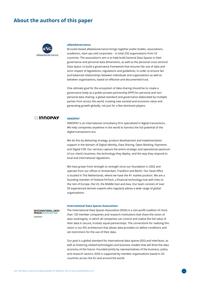# **About the authors of this paper**



#### **aNewGovernance**

Brussels-based aNewGovernance brings together public bodies, associations, academics, start-ups and corporates – in total 250 organisations from 53 countries. The association's aim is to help build Sectoral Data Spaces in their governance and personal data dimensions, as well as the personal cross-sectoral Data Space: to build a governance framework that ensures fair use of data and strict respect of legislations, regulations and guidelines, in order to ensure fair and balanced relationships between individuals and organisations as well as between organisations, based on effective and documented trust.

One ultimate goal for the ecosystem of data sharing should be to create a governance body as a public-private partnership (PPP) for personal and nonpersonal data sharing: a global standard and governance elaborated by multiple parties from across the world, creating new societal and economic value and generating growth globally, not just for a few dominant players.

## □ INNOPAY

### **INNOPAY**

INNOPAY is an international consultancy firm specialised in digital transactions. We help companies anywhere in the world to harness the full potential of the digital transactions era.

We do this by delivering strategy, product development and implementation support in the domain of Digital Identity, Data Sharing, Open Banking, Payments and Digital CSR. Our services capture the entire strategic and operational spectrum of our client's business, the technology they deploy, and the way they respond to local and international regulations.

We have grown from strength to strength since our foundation in 2002 and operate from our offices in Amsterdam, Frankfurt and Berlin. Our head office is located in The Netherlands, where we have the #1 market position. We are a founding member of Holland FinTech, a financial technology hub with links to the rest of Europe, the US, the Middle East and Asia. Our team consists of over 50 experienced domain experts who regularly advise a wide range of global organisations.

#### **INTERNATIONAL DATA SPACES ASSOCIATIO**

**Contract Contract** 

#### **International Data Spaces Association**

The International Data Spaces Association (IDSA) is a non-profit coalition of more than 120 member companies and research institutions that share the vision of data sovereignty, in which all companies can control and realize the full value of their data in secure, trusted, equal partnerships. The cornerstone for realizing this vision is our IDS architecture that allows data providers to define conditions and set restrictions for the use of their data.

Our goal is a global standard for international data spaces (IDS) and interfaces, as well as fostering related technologies and business models that will drive the data economy of the future. Founded jointly by representatives of the business, policy and research sectors, IDSA is supported by member organizations based in 20 countries across the EU and around the world.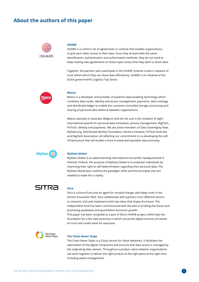# **About the authors of this paper**



#### **iSHARE**

iSHARE is a uniform set of agreements or scheme that enables organisations to give each other access to their data. Since they all work with the same identification, authentication and authorisation methods, they do not need to keep making new agreements on these topics every time they want to share data.

Together, the partners who participate in the iSHARE Scheme create a 'network of trust' within which they can share data effortlessly. iSHARE is an initiative of the Dutch government's Logistics Top Sector.



#### **Meeco**

Meeco is a developer and provider of powerful data-enabling technology which combines data vaults, identity and access management, payments, data ontology and distributed ledger to enable the customer-controlled storage, processing and sharing of personal data within & between organisations.

Meeco operates in Australia, Belgium and the UK, and is the recipient of eight international awards for personal data innovation, privacy management, RegTech, FinTech, identity and payments. We are active members of Data Sovereignty Now, MyData.org, Distributed Identity Foundation, Kantara initiative, FinTech Australia and RegTech Association, all reflecting our commitment to co-developing the soft infrastructure that will enable a more trusted and equitable data economy.



#### **MyData Global**

MyData Global is an award-winning international non-profit, headquartered in Helsinki, Finland. The purpose of MyData Global is to empower individuals by improving their right to self-determination regarding their personal data. The MyData Declaration outlines the paradigm shifts and the principles that are needed to make this a reality.

# SITRA

## **Sitra**

Sitra is a future fund and an agent for societal change, with deep roots in the Finnish innovation field. Sitra collaborates with partners from different sectors to research, trial and implement bold new ideas that shape the future. The independent fund has been commissioned with the task of probing the future and promoting qualitative and quantitative economic growth.

This paper has been compiled as a part of Sitra's IHAN® project, which lays the foundation for a fair data economy in which successful digital services are based on trust and create value for everyone.



#### **The Chain Never Stops**

The Chain Never Stops is a Cloud service for Value Networks. It facilitates the valorisation of the digital component and ensures that data access is managed by the originating data owners. Throughout a product value network, organisations can work together to deliver the right product at the right place at the right time including waste management.